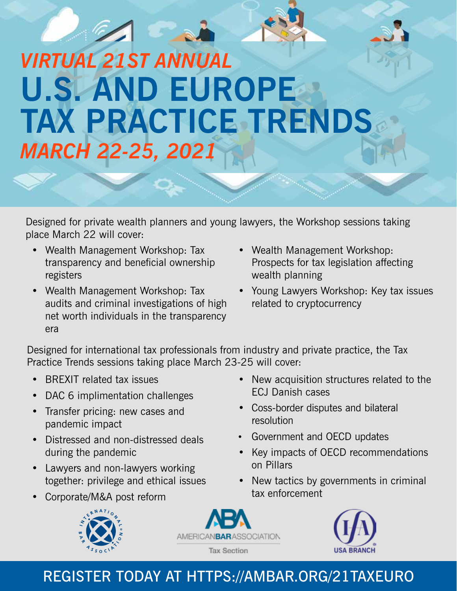# *VIRTUAL 21ST ANNUAL*  **U.S. AND EUROPE TAX PRACTICE TRENDS** *MARCH 22-25, 2021*

Designed for private wealth planners and young lawyers, the Workshop sessions taking place March 22 will cover:

- Wealth Management Workshop: Tax transparency and beneficial ownership registers
- Wealth Management Workshop: Tax audits and criminal investigations of high net worth individuals in the transparency era
- Wealth Management Workshop: Prospects for tax legislation affecting wealth planning
- Young Lawyers Workshop: Key tax issues related to cryptocurrency

Designed for international tax professionals from industry and private practice, the Tax Practice Trends sessions taking place March 23-25 will cover:

- BREXIT related tax issues
- DAC 6 implimentation challenges
- Transfer pricing: new cases and pandemic impact
- Distressed and non-distressed deals during the pandemic
- Lawyers and non-lawyers working together: privilege and ethical issues
- Corporate/M&A post reform







- New acquisition structures related to the ECJ Danish cases
- Coss-border disputes and bilateral resolution
- Government and OECD updates
- Key impacts of OECD recommendations on Pillars
- New tactics by governments in criminal tax enforcement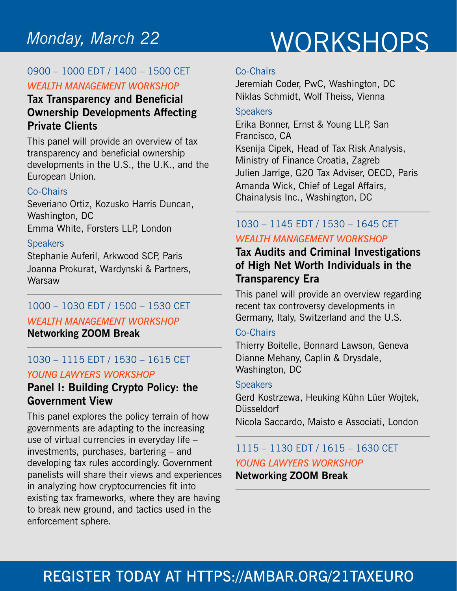## WORKSHOPS *Monday, March 22*

#### 0900 – 1000 EDT / 1400 – 1500 CET *WEALTH MANAGEMENT WORKSHOP*

#### **Tax Transparency and Beneficial Ownership Developments Affecting Private Clients**

This panel will provide an overview of tax transparency and beneficial ownership developments in the U.S., the U.K., and the European Union.

#### Co-Chairs

Severiano Ortiz, Kozusko Harris Duncan, Washington, DC Emma White, Forsters LLP, London

#### **Speakers**

Stephanie Auferil, Arkwood SCP, Paris Joanna Prokurat, Wardynski & Partners, **Warsaw** 

### 1000 – 1030 EDT / 1500 – 1530 CET *WEALTH MANAGEMENT WORKSHOP*

**Networking ZOOM Break**

#### 1030 – 1115 EDT / 1530 – 1615 CET *YOUNG LAWYERS WORKSHOP*

#### **Panel I: Building Crypto Policy: the Government View**

This panel explores the policy terrain of how governments are adapting to the increasing use of virtual currencies in everyday life – investments, purchases, bartering – and developing tax rules accordingly. Government panelists will share their views and experiences in analyzing how cryptocurrencies fit into existing tax frameworks, where they are having to break new ground, and tactics used in the enforcement sphere.

#### Co-Chairs

Jeremiah Coder, PwC, Washington, DC Niklas Schmidt, Wolf Theiss, Vienna

#### **Speakers**

Erika Bonner, Ernst & Young LLP, San Francisco, CA Ksenija Cipek, Head of Tax Risk Analysis, Ministry of Finance Croatia, Zagreb Julien Jarrige, G20 Tax Adviser, OECD, Paris Amanda Wick, Chief of Legal Affairs, Chainalysis Inc., Washington, DC

#### 1030 – 1145 EDT / 1530 – 1645 CET *WEALTH MANAGEMENT WORKSHOP*

### **Tax Audits and Criminal Investigations of High Net Worth Individuals in the Transparency Era**

This panel will provide an overview regarding recent tax controversy developments in Germany, Italy, Switzerland and the U.S.

#### Co-Chairs

Thierry Boitelle, Bonnard Lawson, Geneva Dianne Mehany, Caplin & Drysdale, Washington, DC

#### **Speakers**

Gerd Kostrzewa, Heuking Kühn Lüer Wojtek, Düsseldorf

#### Nicola Saccardo, Maisto e Associati, London

#### 1115 – 1130 EDT / 1615 – 1630 CET *YOUNG LAWYERS WORKSHOP* **Networking ZOOM Break**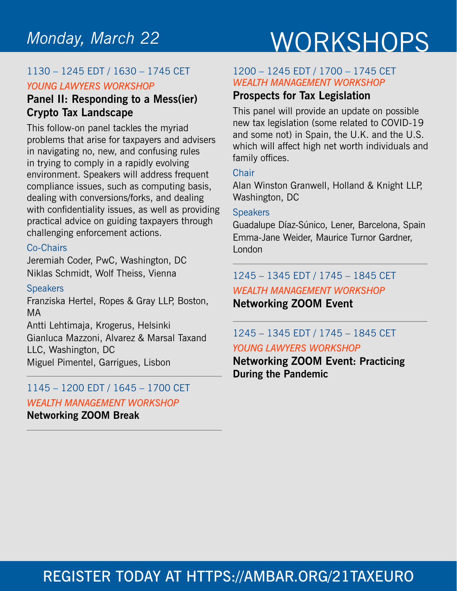## WORKSHOPS *Monday, March 22*

#### 1130 – 1245 EDT / 1630 – 1745 CET *YOUNG LAWYERS WORKSHOP*

#### **Panel II: Responding to a Mess(ier) Crypto Tax Landscape**

This follow-on panel tackles the myriad problems that arise for taxpayers and advisers in navigating no, new, and confusing rules in trying to comply in a rapidly evolving environment. Speakers will address frequent compliance issues, such as computing basis, dealing with conversions/forks, and dealing with confidentiality issues, as well as providing practical advice on guiding taxpayers through challenging enforcement actions.

#### Co-Chairs

Jeremiah Coder, PwC, Washington, DC Niklas Schmidt, Wolf Theiss, Vienna

#### **Speakers**

Franziska Hertel, Ropes & Gray LLP, Boston, MA

Antti Lehtimaja, Krogerus, Helsinki Gianluca Mazzoni, Alvarez & Marsal Taxand LLC, Washington, DC Miguel Pimentel, Garrigues, Lisbon

### 1145 – 1200 EDT / 1645 – 1700 CET *WEALTH MANAGEMENT WORKSHOP*

**Networking ZOOM Break**

#### 1200 – 1245 EDT / 1700 – 1745 CET *WEALTH MANAGEMENT WORKSHOP*

#### **Prospects for Tax Legislation**

This panel will provide an update on possible new tax legislation (some related to COVID-19 and some not) in Spain, the U.K. and the U.S. which will affect high net worth individuals and family offices.

#### **Chair**

Alan Winston Granwell, Holland & Knight LLP, Washington, DC

#### **Speakers**

Guadalupe Díaz-Súnico, Lener, Barcelona, Spain Emma-Jane Weider, Maurice Turnor Gardner, London

### 1245 – 1345 EDT / 1745 – 1845 CET

*WEALTH MANAGEMENT WORKSHOP* **Networking ZOOM Event**

#### 1245 – 1345 EDT / 1745 – 1845 CET *YOUNG LAWYERS WORKSHOP*

**Networking ZOOM Event: Practicing** 

**During the Pandemic**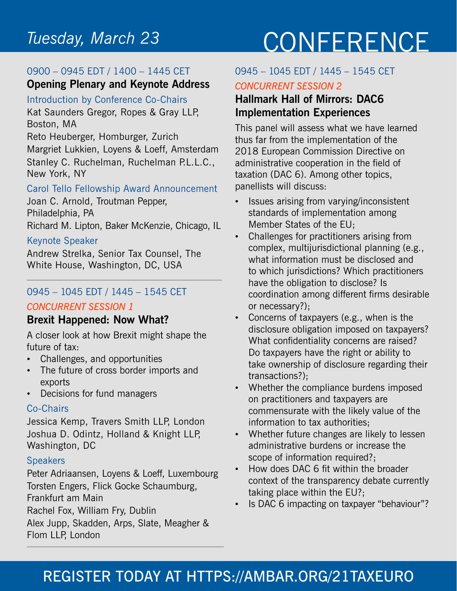# CONFERENCE *Tuesday, March 23*

#### 0900 – 0945 EDT / 1400 – 1445 CET **Opening Plenary and Keynote Address**

#### Introduction by Conference Co-Chairs

Kat Saunders Gregor, Ropes & Gray LLP, Boston, MA

Reto Heuberger, Homburger, Zurich Margriet Lukkien, Loyens & Loeff, Amsterdam Stanley C. Ruchelman, Ruchelman P.L.L.C., New York, NY

#### Carol Tello Fellowship Award Announcement

Joan C. Arnold, Troutman Pepper, Philadelphia, PA Richard M. Lipton, Baker McKenzie, Chicago, IL

#### Keynote Speaker

Andrew Strelka, Senior Tax Counsel, The White House, Washington, DC, USA

#### 0945 – 1045 EDT / 1445 – 1545 CET

#### *CONCURRENT SESSION 1*

#### **Brexit Happened: Now What?**

A closer look at how Brexit might shape the future of tax:

- Challenges, and opportunities
- The future of cross border imports and exports
- Decisions for fund managers

#### Co-Chairs

Jessica Kemp, Travers Smith LLP, London Joshua D. Odintz, Holland & Knight LLP, Washington, DC

#### **Speakers**

Peter Adriaansen, Loyens & Loeff, Luxembourg Torsten Engers, Flick Gocke Schaumburg, Frankfurt am Main Rachel Fox, William Fry, Dublin

Alex Jupp, Skadden, Arps, Slate, Meagher & Flom LLP, London

### 0945 – 1045 EDT / 1445 – 1545 CET

#### *CONCURRENT SESSION 2*

#### **Hallmark Hall of Mirrors: DAC6 Implementation Experiences**

This panel will assess what we have learned thus far from the implementation of the 2018 European Commission Directive on administrative cooperation in the field of taxation (DAC 6). Among other topics, panellists will discuss:

- Issues arising from varying/inconsistent standards of implementation among Member States of the EU;
- Challenges for practitioners arising from complex, multijurisdictional planning (e.g., what information must be disclosed and to which jurisdictions? Which practitioners have the obligation to disclose? Is coordination among different firms desirable or necessary?);
- Concerns of taxpayers (e.g., when is the disclosure obligation imposed on taxpayers? What confidentiality concerns are raised? Do taxpayers have the right or ability to take ownership of disclosure regarding their transactions?);
- Whether the compliance burdens imposed on practitioners and taxpayers are commensurate with the likely value of the information to tax authorities;
- Whether future changes are likely to lessen administrative burdens or increase the scope of information required?;
- How does DAC 6 fit within the broader context of the transparency debate currently taking place within the EU?;
- Is DAC 6 impacting on taxpayer "behaviour"?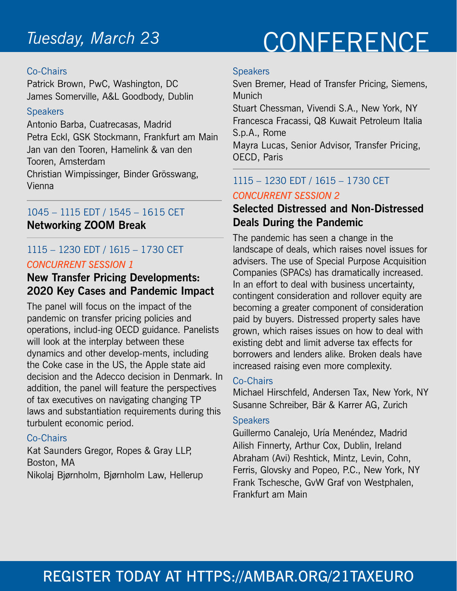#### Co-Chairs

Patrick Brown, PwC, Washington, DC James Somerville, A&L Goodbody, Dublin

#### **Speakers**

Antonio Barba, Cuatrecasas, Madrid Petra Eckl, GSK Stockmann, Frankfurt am Main Jan van den Tooren, Hamelink & van den Tooren, Amsterdam

Christian Wimpissinger, Binder Grösswang, Vienna

#### 1045 – 1115 EDT / 1545 – 1615 CET **Networking ZOOM Break**

#### 1115 – 1230 EDT / 1615 – 1730 CET *CONCURRENT SESSION 1*

#### **New Transfer Pricing Developments: 2020 Key Cases and Pandemic Impact**

The panel will focus on the impact of the pandemic on transfer pricing policies and operations, includ-ing OECD guidance. Panelists will look at the interplay between these dynamics and other develop-ments, including the Coke case in the US, the Apple state aid decision and the Adecco decision in Denmark. In addition, the panel will feature the perspectives of tax executives on navigating changing TP laws and substantiation requirements during this turbulent economic period.

#### Co-Chairs

Kat Saunders Gregor, Ropes & Gray LLP, Boston, MA

#### Nikolaj Bjørnholm, Bjørnholm Law, Hellerup

# CONFERENCE *Tuesday, March 23*

#### **Speakers**

Sven Bremer, Head of Transfer Pricing, Siemens, **Munich** 

Stuart Chessman, Vivendi S.A., New York, NY Francesca Fracassi, Q8 Kuwait Petroleum Italia S.p.A., Rome

Mayra Lucas, Senior Advisor, Transfer Pricing, OECD, Paris

#### 1115 – 1230 EDT / 1615 – 1730 CET *CONCURRENT SESSION 2*

#### **Selected Distressed and Non-Distressed Deals During the Pandemic**

The pandemic has seen a change in the landscape of deals, which raises novel issues for advisers. The use of Special Purpose Acquisition Companies (SPACs) has dramatically increased. In an effort to deal with business uncertainty, contingent consideration and rollover equity are becoming a greater component of consideration paid by buyers. Distressed property sales have grown, which raises issues on how to deal with existing debt and limit adverse tax effects for borrowers and lenders alike. Broken deals have increased raising even more complexity.

#### Co-Chairs

Michael Hirschfeld, Andersen Tax, New York, NY Susanne Schreiber, Bär & Karrer AG, Zurich

#### **Speakers**

Guillermo Canalejo, Uría Menéndez, Madrid Ailish Finnerty, Arthur Cox, Dublin, Ireland Abraham (Avi) Reshtick, Mintz, Levin, Cohn, Ferris, Glovsky and Popeo, P.C., New York, NY Frank Tschesche, GvW Graf von Westphalen, Frankfurt am Main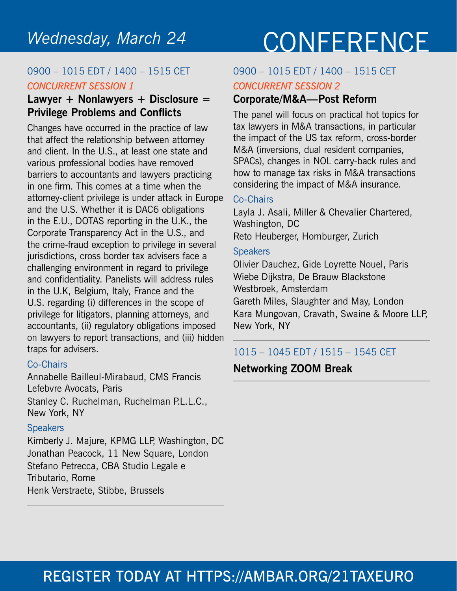## Wednesday, March 24 CONFERENCE

#### 0900 – 1015 EDT / 1400 – 1515 CET *CONCURRENT SESSION 1*

#### **Lawyer + Nonlawyers + Disclosure = Privilege Problems and Conflicts**

Changes have occurred in the practice of law that affect the relationship between attorney and client. In the U.S., at least one state and various professional bodies have removed barriers to accountants and lawyers practicing in one firm. This comes at a time when the attorney-client privilege is under attack in Europe and the U.S. Whether it is DAC6 obligations in the E.U., DOTAS reporting in the U.K., the Corporate Transparency Act in the U.S., and the crime-fraud exception to privilege in several jurisdictions, cross border tax advisers face a challenging environment in regard to privilege and confidentiality. Panelists will address rules in the U.K, Belgium, Italy, France and the U.S. regarding (i) differences in the scope of privilege for litigators, planning attorneys, and accountants, (ii) regulatory obligations imposed on lawyers to report transactions, and (iii) hidden traps for advisers.

#### Co-Chairs

Annabelle Bailleul-Mirabaud, CMS Francis Lefebvre Avocats, Paris Stanley C. Ruchelman, Ruchelman P.L.L.C.,

New York, NY

#### **Speakers**

Kimberly J. Majure, KPMG LLP, Washington, DC Jonathan Peacock, 11 New Square, London Stefano Petrecca, CBA Studio Legale e Tributario, Rome Henk Verstraete, Stibbe, Brussels

#### 0900 – 1015 EDT / 1400 – 1515 CET *CONCURRENT SESSION 2*

### **Corporate/M&A—Post Reform**

The panel will focus on practical hot topics for tax lawyers in M&A transactions, in particular the impact of the US tax reform, cross-border M&A (inversions, dual resident companies, SPACs), changes in NOL carry-back rules and how to manage tax risks in M&A transactions considering the impact of M&A insurance.

#### Co-Chairs

Layla J. Asali, Miller & Chevalier Chartered, Washington, DC Reto Heuberger, Homburger, Zurich

#### **Speakers**

Olivier Dauchez, Gide Loyrette Nouel, Paris Wiebe Dijkstra, De Brauw Blackstone Westbroek, Amsterdam Gareth Miles, Slaughter and May, London Kara Mungovan, Cravath, Swaine & Moore LLP, New York, NY

#### 1015 – 1045 EDT / 1515 – 1545 CET

**Networking ZOOM Break**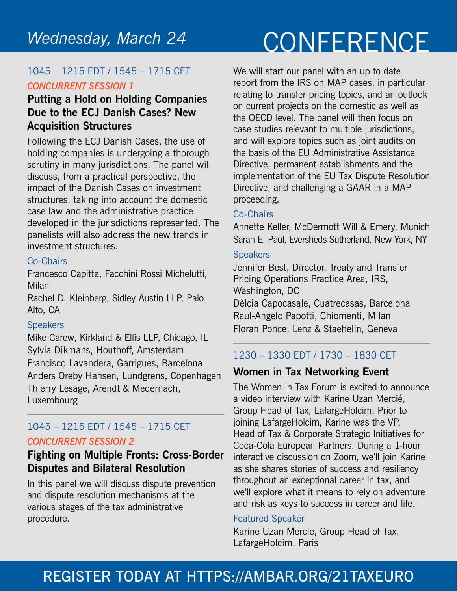#### 1045 – 1215 EDT / 1545 – 1715 CET *CONCURRENT SESSION 1*

#### **Putting a Hold on Holding Companies Due to the ECJ Danish Cases? New Acquisition Structures**

Following the ECJ Danish Cases, the use of holding companies is undergoing a thorough scrutiny in many jurisdictions. The panel will discuss, from a practical perspective, the impact of the Danish Cases on investment structures, taking into account the domestic case law and the administrative practice developed in the jurisdictions represented. The panelists will also address the new trends in investment structures.

#### Co-Chairs

Francesco Capitta, Facchini Rossi Michelutti, Milan

Rachel D. Kleinberg, Sidley Austin LLP, Palo Alto, CA

#### **Speakers**

Mike Carew, Kirkland & Ellis LLP, Chicago, IL Sylvia Dikmans, Houthoff, Amsterdam Francisco Lavandera, Garrigues, Barcelona Anders Oreby Hansen, Lundgrens, Copenhagen Thierry Lesage, Arendt & Medernach, Luxembourg

#### 1045 – 1215 EDT / 1545 – 1715 CET *CONCURRENT SESSION 2*

#### **Fighting on Multiple Fronts: Cross-Border Disputes and Bilateral Resolution**

In this panel we will discuss dispute prevention and dispute resolution mechanisms at the various stages of the tax administrative procedure.

We will start our panel with an up to date report from the IRS on MAP cases, in particular relating to transfer pricing topics, and an outlook on current projects on the domestic as well as the OECD level. The panel will then focus on case studies relevant to multiple jurisdictions, and will explore topics such as joint audits on the basis of the EU Administrative Assistance Directive, permanent establishments and the implementation of the EU Tax Dispute Resolution Directive, and challenging a GAAR in a MAP proceeding.

#### Co-Chairs

Annette Keller, McDermott Will & Emery, Munich Sarah E. Paul, Eversheds Sutherland, New York, NY

#### **Speakers**

Jennifer Best, Director, Treaty and Transfer Pricing Operations Practice Area, IRS, Washington, DC Dèlcia Capocasale, Cuatrecasas, Barcelona Raul-Angelo Papotti, Chiomenti, Milan Floran Ponce, Lenz & Staehelin, Geneva

#### 1230 – 1330 EDT / 1730 – 1830 CET

#### **Women in Tax Networking Event**

The Women in Tax Forum is excited to announce a video interview with Karine Uzan Mercié, Group Head of Tax, LafargeHolcim. Prior to joining LafargeHolcim, Karine was the VP, Head of Tax & Corporate Strategic Initiatives for Coca-Cola European Partners. During a 1-hour interactive discussion on Zoom, we'll join Karine as she shares stories of success and resiliency throughout an exceptional career in tax, and we'll explore what it means to rely on adventure and risk as keys to success in career and life.

#### Featured Speaker

Karine Uzan Mercie, Group Head of Tax, LafargeHolcim, Paris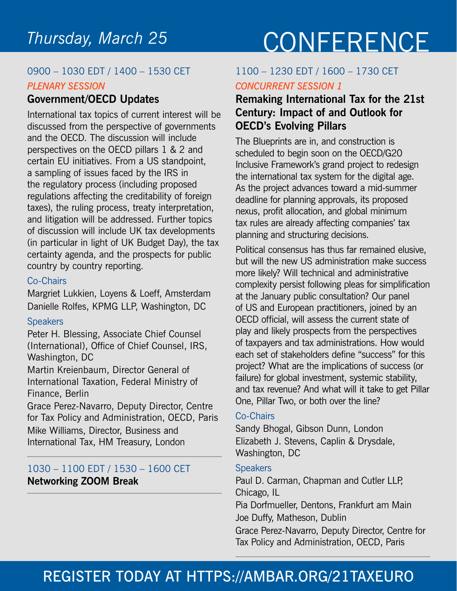#### 0900 – 1030 EDT / 1400 – 1530 CET *PLENARY SESSION*

#### **Government/OECD Updates**

International tax topics of current interest will be discussed from the perspective of governments and the OECD. The discussion will include perspectives on the OECD pillars 1 & 2 and certain EU initiatives. From a US standpoint, a sampling of issues faced by the IRS in the regulatory process (including proposed regulations affecting the creditability of foreign taxes), the ruling process, treaty interpretation, and litigation will be addressed. Further topics of discussion will include UK tax developments (in particular in light of UK Budget Day), the tax certainty agenda, and the prospects for public country by country reporting.

#### Co-Chairs

Margriet Lukkien, Loyens & Loeff, Amsterdam Danielle Rolfes, KPMG LLP, Washington, DC

#### **Speakers**

Peter H. Blessing, Associate Chief Counsel (International), Office of Chief Counsel, IRS, Washington, DC

Martin Kreienbaum, Director General of International Taxation, Federal Ministry of Finance, Berlin

Grace Perez-Navarro, Deputy Director, Centre for Tax Policy and Administration, OECD, Paris Mike Williams, Director, Business and International Tax, HM Treasury, London

#### 1030 – 1100 EDT / 1530 – 1600 CET **Networking ZOOM Break**

# CONFERENCE *Thursday, March 25*

#### 1100 – 1230 EDT / 1600 – 1730 CET *CONCURRENT SESSION 1*

#### **Remaking International Tax for the 21st Century: Impact of and Outlook for OECD's Evolving Pillars**

The Blueprints are in, and construction is scheduled to begin soon on the OECD/G20 Inclusive Framework's grand project to redesign the international tax system for the digital age. As the project advances toward a mid-summer deadline for planning approvals, its proposed nexus, profit allocation, and global minimum tax rules are already affecting companies' tax planning and structuring decisions.

Political consensus has thus far remained elusive, but will the new US administration make success more likely? Will technical and administrative complexity persist following pleas for simplification at the January public consultation? Our panel of US and European practitioners, joined by an OECD official, will assess the current state of play and likely prospects from the perspectives of taxpayers and tax administrations. How would each set of stakeholders define "success" for this project? What are the implications of success (or failure) for global investment, systemic stability, and tax revenue? And what will it take to get Pillar One, Pillar Two, or both over the line?

#### Co-Chairs

Sandy Bhogal, Gibson Dunn, London Elizabeth J. Stevens, Caplin & Drysdale, Washington, DC

#### **Speakers**

Paul D. Carman, Chapman and Cutler LLP, Chicago, IL

Pia Dorfmueller, Dentons, Frankfurt am Main Joe Duffy, Matheson, Dublin

Grace Perez-Navarro, Deputy Director, Centre for Tax Policy and Administration, OECD, Paris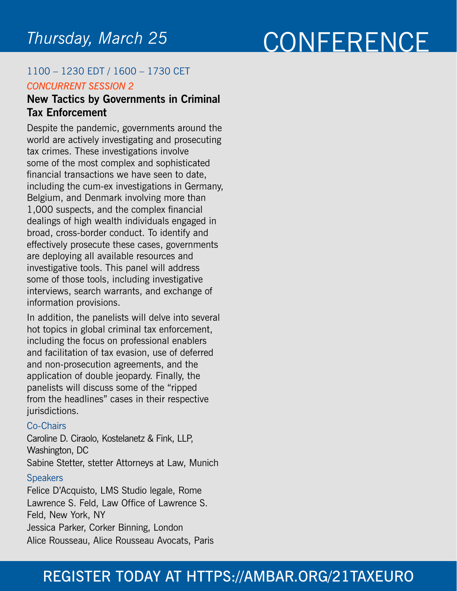## CONFERENCE *Thursday, March 25*

#### 1100 – 1230 EDT / 1600 – 1730 CET *CONCURRENT SESSION 2*

#### **New Tactics by Governments in Criminal Tax Enforcement**

Despite the pandemic, governments around the world are actively investigating and prosecuting tax crimes. These investigations involve some of the most complex and sophisticated financial transactions we have seen to date, including the cum-ex investigations in Germany, Belgium, and Denmark involving more than 1,000 suspects, and the complex financial dealings of high wealth individuals engaged in broad, cross-border conduct. To identify and effectively prosecute these cases, governments are deploying all available resources and investigative tools. This panel will address some of those tools, including investigative interviews, search warrants, and exchange of information provisions.

In addition, the panelists will delve into several hot topics in global criminal tax enforcement, including the focus on professional enablers and facilitation of tax evasion, use of deferred and non-prosecution agreements, and the application of double jeopardy. Finally, the panelists will discuss some of the "ripped from the headlines" cases in their respective jurisdictions.

#### Co-Chairs

Caroline D. Ciraolo, Kostelanetz & Fink, LLP, Washington, DC Sabine Stetter, stetter Attorneys at Law, Munich **Speakers** Felice D'Acquisto, LMS Studio legale, Rome

Lawrence S. Feld, Law Office of Lawrence S. Feld, New York, NY Jessica Parker, Corker Binning, London Alice Rousseau, Alice Rousseau Avocats, Paris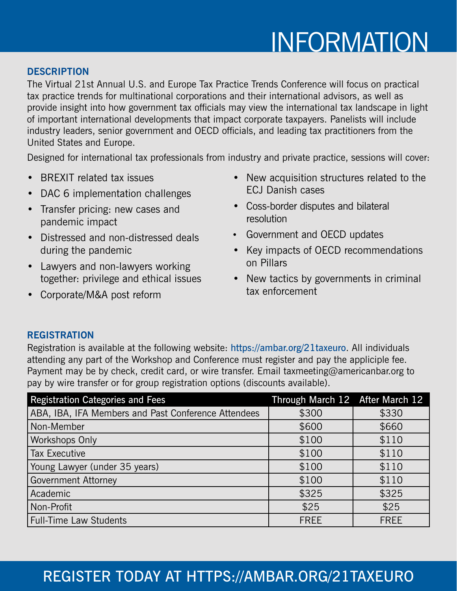# INFORMATION

#### **DESCRIPTION**

The Virtual 21st Annual U.S. and Europe Tax Practice Trends Conference will focus on practical tax practice trends for multinational corporations and their international advisors, as well as provide insight into how government tax officials may view the international tax landscape in light of important international developments that impact corporate taxpayers. Panelists will include industry leaders, senior government and OECD officials, and leading tax practitioners from the United States and Europe.

Designed for international tax professionals from industry and private practice, sessions will cover:

- BREXIT related tax issues
- DAC 6 implementation challenges
- Transfer pricing: new cases and pandemic impact
- Distressed and non-distressed deals during the pandemic
- Lawyers and non-lawyers working together: privilege and ethical issues
- Corporate/M&A post reform
- New acquisition structures related to the ECJ Danish cases
- Coss-border disputes and bilateral resolution
- Government and OECD updates
- Key impacts of OECD recommendations on Pillars
- New tactics by governments in criminal tax enforcement

#### **REGISTRATION**

Registration is available at the following website: https://ambar.org/21taxeuro. All individuals attending any part of the Workshop and Conference must register and pay the appliciple fee. Payment may be by check, credit card, or wire transfer. Email taxmeeting@americanbar.org to pay by wire transfer or for group registration options (discounts available).

| <b>Registration Categories and Fees</b>             | Through March 12 After March 12 |             |
|-----------------------------------------------------|---------------------------------|-------------|
| ABA, IBA, IFA Members and Past Conference Attendees | \$300                           | \$330       |
| Non-Member                                          | \$600                           | \$660       |
| Workshops Only                                      | \$100                           | \$110       |
| Tax Executive                                       | \$100                           | \$110       |
| Young Lawyer (under 35 years)                       | \$100                           | \$110       |
| <b>Government Attorney</b>                          | \$100                           | \$110       |
| Academic                                            | \$325                           | \$325       |
| Non-Profit                                          | \$25                            | \$25        |
| Full-Time Law Students                              | <b>FREE</b>                     | <b>FREE</b> |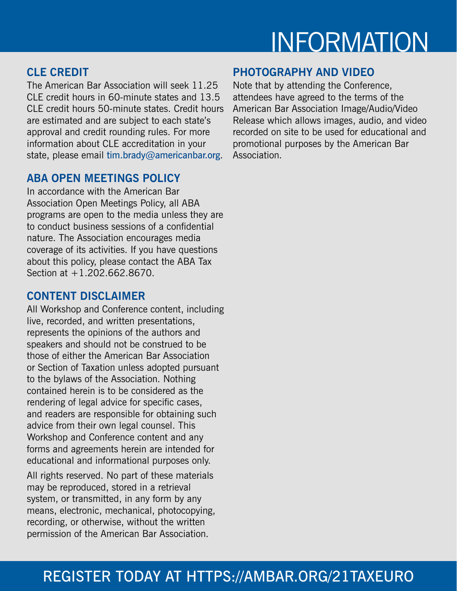## INFORMATION

#### **CLE CREDIT**

The American Bar Association will seek 11.25 CLE credit hours in 60-minute states and 13.5 CLE credit hours 50-minute states. Credit hours are estimated and are subject to each state's approval and credit rounding rules. For more information about CLE accreditation in your state, please email tim.brady@americanbar.org.

#### **ABA OPEN MEETINGS POLICY**

In accordance with the American Bar Association Open Meetings Policy, all ABA programs are open to the media unless they are to conduct business sessions of a confidential nature. The Association encourages media coverage of its activities. If you have questions about this policy, please contact the ABA Tax Section at +1.202.662.8670.

#### **CONTENT DISCLAIMER**

All Workshop and Conference content, including live, recorded, and written presentations, represents the opinions of the authors and speakers and should not be construed to be those of either the American Bar Association or Section of Taxation unless adopted pursuant to the bylaws of the Association. Nothing contained herein is to be considered as the rendering of legal advice for specific cases, and readers are responsible for obtaining such advice from their own legal counsel. This Workshop and Conference content and any forms and agreements herein are intended for educational and informational purposes only.

All rights reserved. No part of these materials may be reproduced, stored in a retrieval system, or transmitted, in any form by any means, electronic, mechanical, photocopying, recording, or otherwise, without the written permission of the American Bar Association.

#### **PHOTOGRAPHY AND VIDEO**

Note that by attending the Conference, attendees have agreed to the terms of the American Bar Association Image/Audio/Video Release which allows images, audio, and video recorded on site to be used for educational and promotional purposes by the American Bar Association.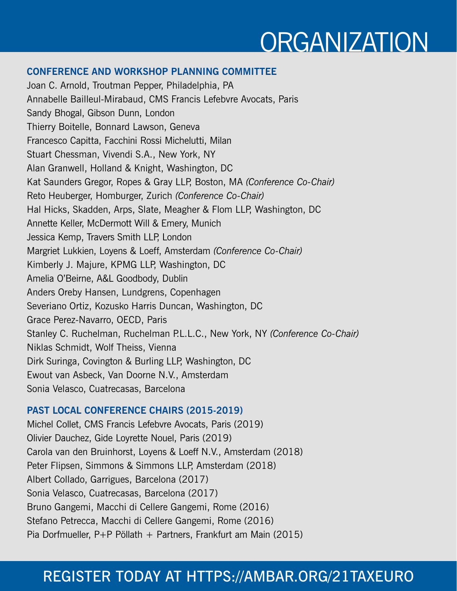## **ORGANIZATION**

#### **CONFERENCE AND WORKSHOP PLANNING COMMITTEE**

Joan C. Arnold, Troutman Pepper, Philadelphia, PA Annabelle Bailleul-Mirabaud, CMS Francis Lefebvre Avocats, Paris Sandy Bhogal, Gibson Dunn, London Thierry Boitelle, Bonnard Lawson, Geneva Francesco Capitta, Facchini Rossi Michelutti, Milan Stuart Chessman, Vivendi S.A., New York, NY Alan Granwell, Holland & Knight, Washington, DC Kat Saunders Gregor, Ropes & Gray LLP, Boston, MA *(Conference Co-Chair)* Reto Heuberger, Homburger, Zurich *(Conference Co-Chair)* Hal Hicks, Skadden, Arps, Slate, Meagher & Flom LLP, Washington, DC Annette Keller, McDermott Will & Emery, Munich Jessica Kemp, Travers Smith LLP, London Margriet Lukkien, Loyens & Loeff, Amsterdam *(Conference Co-Chair)* Kimberly J. Majure, KPMG LLP, Washington, DC Amelia O'Beirne, A&L Goodbody, Dublin Anders Oreby Hansen, Lundgrens, Copenhagen Severiano Ortiz, Kozusko Harris Duncan, Washington, DC Grace Perez-Navarro, OECD, Paris Stanley C. Ruchelman, Ruchelman P.L.L.C., New York, NY *(Conference Co-Chair)* Niklas Schmidt, Wolf Theiss, Vienna Dirk Suringa, Covington & Burling LLP, Washington, DC Ewout van Asbeck, Van Doorne N.V., Amsterdam Sonia Velasco, Cuatrecasas, Barcelona

#### **PAST LOCAL CONFERENCE CHAIRS (2015-2019)**

Michel Collet, CMS Francis Lefebvre Avocats, Paris (2019) Olivier Dauchez, Gide Loyrette Nouel, Paris (2019) Carola van den Bruinhorst, Loyens & Loeff N.V., Amsterdam (2018) Peter Flipsen, Simmons & Simmons LLP, Amsterdam (2018) Albert Collado, Garrigues, Barcelona (2017) Sonia Velasco, Cuatrecasas, Barcelona (2017) Bruno Gangemi, Macchi di Cellere Gangemi, Rome (2016) Stefano Petrecca, Macchi di Cellere Gangemi, Rome (2016) Pia Dorfmueller, P+P Pöllath + Partners, Frankfurt am Main (2015)